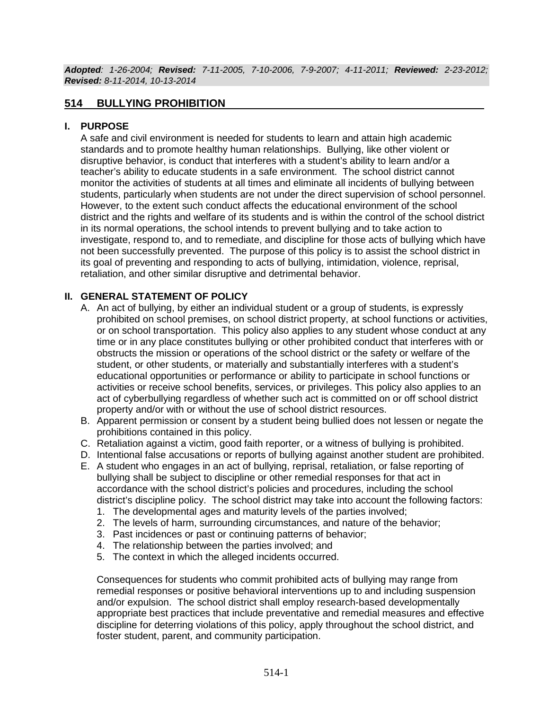*Adopted: 1-26-2004; Revised: 7-11-2005, 7-10-2006, 7-9-2007; 4-11-2011; Reviewed: 2-23-2012; Revised: 8-11-2014, 10-13-2014*

## **514 BULLYING PROHIBITION**

#### **I. PURPOSE**

A safe and civil environment is needed for students to learn and attain high academic standards and to promote healthy human relationships. Bullying, like other violent or disruptive behavior, is conduct that interferes with a student's ability to learn and/or a teacher's ability to educate students in a safe environment. The school district cannot monitor the activities of students at all times and eliminate all incidents of bullying between students, particularly when students are not under the direct supervision of school personnel. However, to the extent such conduct affects the educational environment of the school district and the rights and welfare of its students and is within the control of the school district in its normal operations, the school intends to prevent bullying and to take action to investigate, respond to, and to remediate, and discipline for those acts of bullying which have not been successfully prevented. The purpose of this policy is to assist the school district in its goal of preventing and responding to acts of bullying, intimidation, violence, reprisal, retaliation, and other similar disruptive and detrimental behavior.

#### **II. GENERAL STATEMENT OF POLICY**

- A. An act of bullying, by either an individual student or a group of students, is expressly prohibited on school premises, on school district property, at school functions or activities, or on school transportation. This policy also applies to any student whose conduct at any time or in any place constitutes bullying or other prohibited conduct that interferes with or obstructs the mission or operations of the school district or the safety or welfare of the student, or other students, or materially and substantially interferes with a student's educational opportunities or performance or ability to participate in school functions or activities or receive school benefits, services, or privileges. This policy also applies to an act of cyberbullying regardless of whether such act is committed on or off school district property and/or with or without the use of school district resources.
- B. Apparent permission or consent by a student being bullied does not lessen or negate the prohibitions contained in this policy.
- C. Retaliation against a victim, good faith reporter, or a witness of bullying is prohibited.
- D. Intentional false accusations or reports of bullying against another student are prohibited.
- E. A student who engages in an act of bullying, reprisal, retaliation, or false reporting of bullying shall be subject to discipline or other remedial responses for that act in accordance with the school district's policies and procedures, including the school district's discipline policy. The school district may take into account the following factors:
	- 1. The developmental ages and maturity levels of the parties involved;
	- 2. The levels of harm, surrounding circumstances, and nature of the behavior;
	- 3. Past incidences or past or continuing patterns of behavior;
	- 4. The relationship between the parties involved; and
	- 5. The context in which the alleged incidents occurred.

Consequences for students who commit prohibited acts of bullying may range from remedial responses or positive behavioral interventions up to and including suspension and/or expulsion. The school district shall employ research-based developmentally appropriate best practices that include preventative and remedial measures and effective discipline for deterring violations of this policy, apply throughout the school district, and foster student, parent, and community participation.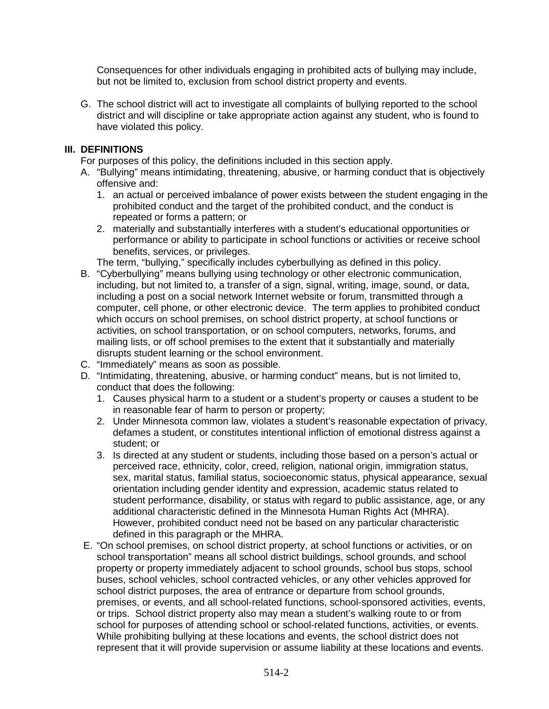Consequences for other individuals engaging in prohibited acts of bullying may include, but not be limited to, exclusion from school district property and events.

G. The school district will act to investigate all complaints of bullying reported to the school district and will discipline or take appropriate action against any student, who is found to have violated this policy.

## **III. DEFINITIONS**

For purposes of this policy, the definitions included in this section apply.

- A. "Bullying" means intimidating, threatening, abusive, or harming conduct that is objectively offensive and:
	- 1. an actual or perceived imbalance of power exists between the student engaging in the prohibited conduct and the target of the prohibited conduct, and the conduct is repeated or forms a pattern; or
	- 2. materially and substantially interferes with a student's educational opportunities or performance or ability to participate in school functions or activities or receive school benefits, services, or privileges.

The term, "bullying," specifically includes cyberbullying as defined in this policy.

- B. "Cyberbullying" means bullying using technology or other electronic communication, including, but not limited to, a transfer of a sign, signal, writing, image, sound, or data, including a post on a social network Internet website or forum, transmitted through a computer, cell phone, or other electronic device. The term applies to prohibited conduct which occurs on school premises, on school district property, at school functions or activities, on school transportation, or on school computers, networks, forums, and mailing lists, or off school premises to the extent that it substantially and materially disrupts student learning or the school environment.
- C. "Immediately" means as soon as possible.
- D. "Intimidating, threatening, abusive, or harming conduct" means, but is not limited to, conduct that does the following:
	- 1. Causes physical harm to a student or a student's property or causes a student to be in reasonable fear of harm to person or property;
	- 2. Under Minnesota common law, violates a student's reasonable expectation of privacy, defames a student, or constitutes intentional infliction of emotional distress against a student; or
	- 3. Is directed at any student or students, including those based on a person's actual or perceived race, ethnicity, color, creed, religion, national origin, immigration status, sex, marital status, familial status, socioeconomic status, physical appearance, sexual orientation including gender identity and expression, academic status related to student performance, disability, or status with regard to public assistance, age, or any additional characteristic defined in the Minnesota Human Rights Act (MHRA). However, prohibited conduct need not be based on any particular characteristic defined in this paragraph or the MHRA.
- E. "On school premises, on school district property, at school functions or activities, or on school transportation" means all school district buildings, school grounds, and school property or property immediately adjacent to school grounds, school bus stops, school buses, school vehicles, school contracted vehicles, or any other vehicles approved for school district purposes, the area of entrance or departure from school grounds, premises, or events, and all school-related functions, school-sponsored activities, events, or trips. School district property also may mean a student's walking route to or from school for purposes of attending school or school-related functions, activities, or events. While prohibiting bullying at these locations and events, the school district does not represent that it will provide supervision or assume liability at these locations and events.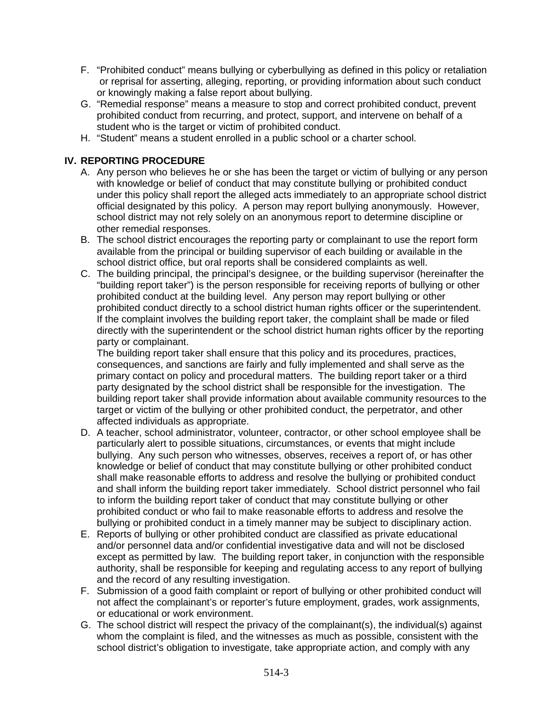- F. "Prohibited conduct" means bullying or cyberbullying as defined in this policy or retaliation or reprisal for asserting, alleging, reporting, or providing information about such conduct or knowingly making a false report about bullying.
- G. "Remedial response" means a measure to stop and correct prohibited conduct, prevent prohibited conduct from recurring, and protect, support, and intervene on behalf of a student who is the target or victim of prohibited conduct.
- H. "Student" means a student enrolled in a public school or a charter school.

## **IV. REPORTING PROCEDURE**

- A. Any person who believes he or she has been the target or victim of bullying or any person with knowledge or belief of conduct that may constitute bullying or prohibited conduct under this policy shall report the alleged acts immediately to an appropriate school district official designated by this policy. A person may report bullying anonymously. However, school district may not rely solely on an anonymous report to determine discipline or other remedial responses.
- B. The school district encourages the reporting party or complainant to use the report form available from the principal or building supervisor of each building or available in the school district office, but oral reports shall be considered complaints as well.
- C. The building principal, the principal's designee, or the building supervisor (hereinafter the "building report taker") is the person responsible for receiving reports of bullying or other prohibited conduct at the building level. Any person may report bullying or other prohibited conduct directly to a school district human rights officer or the superintendent. If the complaint involves the building report taker, the complaint shall be made or filed directly with the superintendent or the school district human rights officer by the reporting party or complainant.

The building report taker shall ensure that this policy and its procedures, practices, consequences, and sanctions are fairly and fully implemented and shall serve as the primary contact on policy and procedural matters. The building report taker or a third party designated by the school district shall be responsible for the investigation. The building report taker shall provide information about available community resources to the target or victim of the bullying or other prohibited conduct, the perpetrator, and other affected individuals as appropriate.

- D. A teacher, school administrator, volunteer, contractor, or other school employee shall be particularly alert to possible situations, circumstances, or events that might include bullying. Any such person who witnesses, observes, receives a report of, or has other knowledge or belief of conduct that may constitute bullying or other prohibited conduct shall make reasonable efforts to address and resolve the bullying or prohibited conduct and shall inform the building report taker immediately. School district personnel who fail to inform the building report taker of conduct that may constitute bullying or other prohibited conduct or who fail to make reasonable efforts to address and resolve the bullying or prohibited conduct in a timely manner may be subject to disciplinary action.
- E. Reports of bullying or other prohibited conduct are classified as private educational and/or personnel data and/or confidential investigative data and will not be disclosed except as permitted by law. The building report taker, in conjunction with the responsible authority, shall be responsible for keeping and regulating access to any report of bullying and the record of any resulting investigation.
- F. Submission of a good faith complaint or report of bullying or other prohibited conduct will not affect the complainant's or reporter's future employment, grades, work assignments, or educational or work environment.
- G. The school district will respect the privacy of the complainant(s), the individual(s) against whom the complaint is filed, and the witnesses as much as possible, consistent with the school district's obligation to investigate, take appropriate action, and comply with any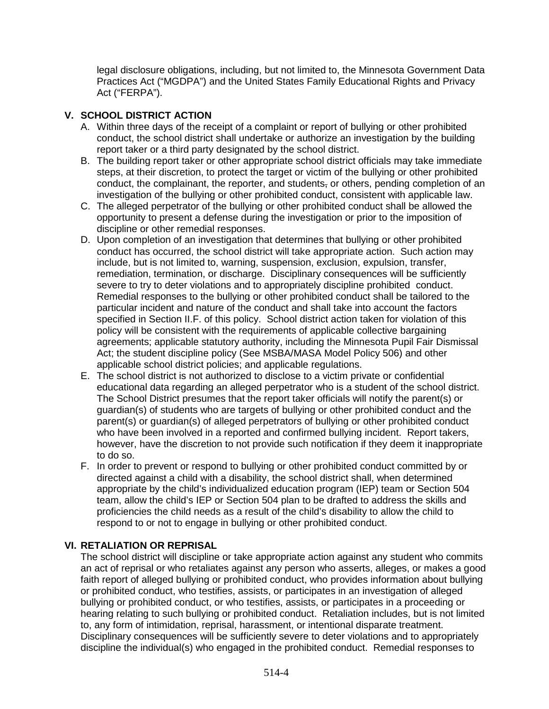legal disclosure obligations, including, but not limited to, the Minnesota Government Data Practices Act ("MGDPA") and the United States Family Educational Rights and Privacy Act ("FERPA").

# **V. SCHOOL DISTRICT ACTION**

- A. Within three days of the receipt of a complaint or report of bullying or other prohibited conduct, the school district shall undertake or authorize an investigation by the building report taker or a third party designated by the school district.
- B. The building report taker or other appropriate school district officials may take immediate steps, at their discretion, to protect the target or victim of the bullying or other prohibited conduct, the complainant, the reporter, and students, or others, pending completion of an investigation of the bullying or other prohibited conduct, consistent with applicable law.
- C. The alleged perpetrator of the bullying or other prohibited conduct shall be allowed the opportunity to present a defense during the investigation or prior to the imposition of discipline or other remedial responses.
- D. Upon completion of an investigation that determines that bullying or other prohibited conduct has occurred, the school district will take appropriate action. Such action may include, but is not limited to, warning, suspension, exclusion, expulsion, transfer, remediation, termination, or discharge. Disciplinary consequences will be sufficiently severe to try to deter violations and to appropriately discipline prohibited conduct. Remedial responses to the bullying or other prohibited conduct shall be tailored to the particular incident and nature of the conduct and shall take into account the factors specified in Section II.F. of this policy. School district action taken for violation of this policy will be consistent with the requirements of applicable collective bargaining agreements; applicable statutory authority, including the Minnesota Pupil Fair Dismissal Act; the student discipline policy (See MSBA/MASA Model Policy 506) and other applicable school district policies; and applicable regulations.
- E. The school district is not authorized to disclose to a victim private or confidential educational data regarding an alleged perpetrator who is a student of the school district. The School District presumes that the report taker officials will notify the parent(s) or guardian(s) of students who are targets of bullying or other prohibited conduct and the parent(s) or guardian(s) of alleged perpetrators of bullying or other prohibited conduct who have been involved in a reported and confirmed bullying incident. Report takers, however, have the discretion to not provide such notification if they deem it inappropriate to do so.
- F. In order to prevent or respond to bullying or other prohibited conduct committed by or directed against a child with a disability, the school district shall, when determined appropriate by the child's individualized education program (IEP) team or Section 504 team, allow the child's IEP or Section 504 plan to be drafted to address the skills and proficiencies the child needs as a result of the child's disability to allow the child to respond to or not to engage in bullying or other prohibited conduct.

## **VI. RETALIATION OR REPRISAL**

The school district will discipline or take appropriate action against any student who commits an act of reprisal or who retaliates against any person who asserts, alleges, or makes a good faith report of alleged bullying or prohibited conduct, who provides information about bullying or prohibited conduct, who testifies, assists, or participates in an investigation of alleged bullying or prohibited conduct, or who testifies, assists, or participates in a proceeding or hearing relating to such bullying or prohibited conduct. Retaliation includes, but is not limited to, any form of intimidation, reprisal, harassment, or intentional disparate treatment. Disciplinary consequences will be sufficiently severe to deter violations and to appropriately discipline the individual(s) who engaged in the prohibited conduct. Remedial responses to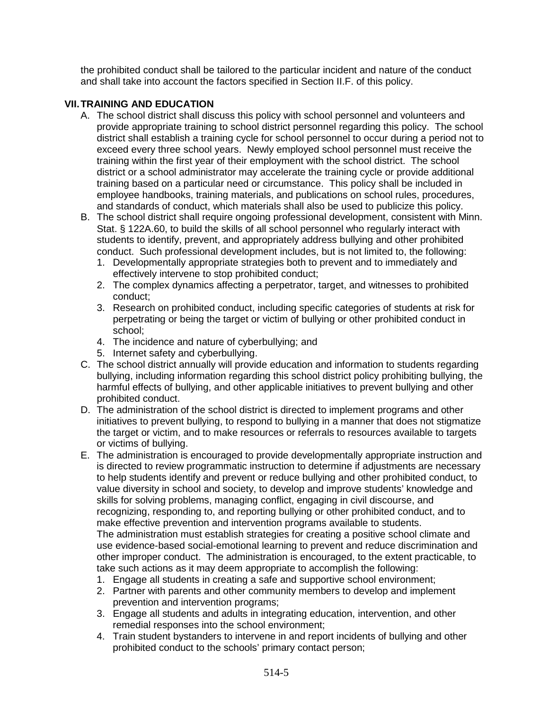the prohibited conduct shall be tailored to the particular incident and nature of the conduct and shall take into account the factors specified in Section II.F. of this policy.

## **VII.TRAINING AND EDUCATION**

- A. The school district shall discuss this policy with school personnel and volunteers and provide appropriate training to school district personnel regarding this policy. The school district shall establish a training cycle for school personnel to occur during a period not to exceed every three school years. Newly employed school personnel must receive the training within the first year of their employment with the school district. The school district or a school administrator may accelerate the training cycle or provide additional training based on a particular need or circumstance. This policy shall be included in employee handbooks, training materials, and publications on school rules, procedures, and standards of conduct, which materials shall also be used to publicize this policy.
- B. The school district shall require ongoing professional development, consistent with Minn. Stat. § 122A.60, to build the skills of all school personnel who regularly interact with students to identify, prevent, and appropriately address bullying and other prohibited conduct. Such professional development includes, but is not limited to, the following:
	- 1. Developmentally appropriate strategies both to prevent and to immediately and effectively intervene to stop prohibited conduct;
	- 2. The complex dynamics affecting a perpetrator, target, and witnesses to prohibited conduct;
	- 3. Research on prohibited conduct, including specific categories of students at risk for perpetrating or being the target or victim of bullying or other prohibited conduct in school;
	- 4. The incidence and nature of cyberbullying; and
	- 5. Internet safety and cyberbullying.
- C. The school district annually will provide education and information to students regarding bullying, including information regarding this school district policy prohibiting bullying, the harmful effects of bullying, and other applicable initiatives to prevent bullying and other prohibited conduct.
- D. The administration of the school district is directed to implement programs and other initiatives to prevent bullying, to respond to bullying in a manner that does not stigmatize the target or victim, and to make resources or referrals to resources available to targets or victims of bullying.
- E. The administration is encouraged to provide developmentally appropriate instruction and is directed to review programmatic instruction to determine if adjustments are necessary to help students identify and prevent or reduce bullying and other prohibited conduct, to value diversity in school and society, to develop and improve students' knowledge and skills for solving problems, managing conflict, engaging in civil discourse, and recognizing, responding to, and reporting bullying or other prohibited conduct, and to make effective prevention and intervention programs available to students. The administration must establish strategies for creating a positive school climate and use evidence-based social-emotional learning to prevent and reduce discrimination and other improper conduct. The administration is encouraged, to the extent practicable, to
	- take such actions as it may deem appropriate to accomplish the following: 1. Engage all students in creating a safe and supportive school environment;
	- 2. Partner with parents and other community members to develop and implement prevention and intervention programs;
	- 3. Engage all students and adults in integrating education, intervention, and other remedial responses into the school environment;
	- 4. Train student bystanders to intervene in and report incidents of bullying and other prohibited conduct to the schools' primary contact person;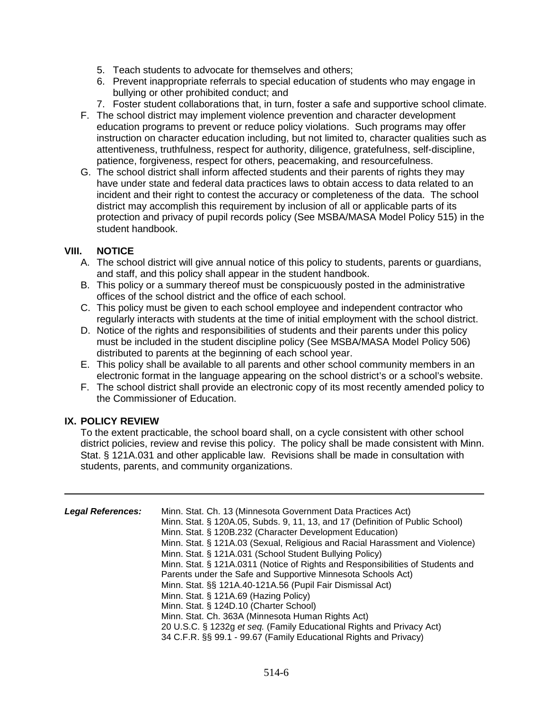- 5. Teach students to advocate for themselves and others;
- 6. Prevent inappropriate referrals to special education of students who may engage in bullying or other prohibited conduct; and
- 7. Foster student collaborations that, in turn, foster a safe and supportive school climate.
- F. The school district may implement violence prevention and character development education programs to prevent or reduce policy violations. Such programs may offer instruction on character education including, but not limited to, character qualities such as attentiveness, truthfulness, respect for authority, diligence, gratefulness, self-discipline, patience, forgiveness, respect for others, peacemaking, and resourcefulness.
- G. The school district shall inform affected students and their parents of rights they may have under state and federal data practices laws to obtain access to data related to an incident and their right to contest the accuracy or completeness of the data. The school district may accomplish this requirement by inclusion of all or applicable parts of its protection and privacy of pupil records policy (See MSBA/MASA Model Policy 515) in the student handbook.

## **VIII. NOTICE**

- A. The school district will give annual notice of this policy to students, parents or guardians, and staff, and this policy shall appear in the student handbook.
- B. This policy or a summary thereof must be conspicuously posted in the administrative offices of the school district and the office of each school.
- C. This policy must be given to each school employee and independent contractor who regularly interacts with students at the time of initial employment with the school district.
- D. Notice of the rights and responsibilities of students and their parents under this policy must be included in the student discipline policy (See MSBA/MASA Model Policy 506) distributed to parents at the beginning of each school year.
- E. This policy shall be available to all parents and other school community members in an electronic format in the language appearing on the school district's or a school's website.
- F. The school district shall provide an electronic copy of its most recently amended policy to the Commissioner of Education.

## **IX. POLICY REVIEW**

To the extent practicable, the school board shall, on a cycle consistent with other school district policies, review and revise this policy. The policy shall be made consistent with Minn. Stat. § 121A.031 and other applicable law. Revisions shall be made in consultation with students, parents, and community organizations.

| <b>Legal References:</b> | Minn. Stat. Ch. 13 (Minnesota Government Data Practices Act)<br>Minn. Stat. § 120A.05, Subds. 9, 11, 13, and 17 (Definition of Public School)<br>Minn. Stat. § 120B.232 (Character Development Education)<br>Minn. Stat. § 121A.03 (Sexual, Religious and Racial Harassment and Violence)<br>Minn. Stat. § 121A.031 (School Student Bullying Policy)<br>Minn. Stat. § 121A.0311 (Notice of Rights and Responsibilities of Students and<br>Parents under the Safe and Supportive Minnesota Schools Act)<br>Minn. Stat. §§ 121A.40-121A.56 (Pupil Fair Dismissal Act)<br>Minn. Stat. § 121A.69 (Hazing Policy) |
|--------------------------|--------------------------------------------------------------------------------------------------------------------------------------------------------------------------------------------------------------------------------------------------------------------------------------------------------------------------------------------------------------------------------------------------------------------------------------------------------------------------------------------------------------------------------------------------------------------------------------------------------------|
|                          | Minn. Stat. § 124D.10 (Charter School)                                                                                                                                                                                                                                                                                                                                                                                                                                                                                                                                                                       |
|                          | Minn. Stat. Ch. 363A (Minnesota Human Rights Act)                                                                                                                                                                                                                                                                                                                                                                                                                                                                                                                                                            |
|                          | 20 U.S.C. § 1232g et seq. (Family Educational Rights and Privacy Act)                                                                                                                                                                                                                                                                                                                                                                                                                                                                                                                                        |
|                          | 34 C.F.R. §§ 99.1 - 99.67 (Family Educational Rights and Privacy)                                                                                                                                                                                                                                                                                                                                                                                                                                                                                                                                            |